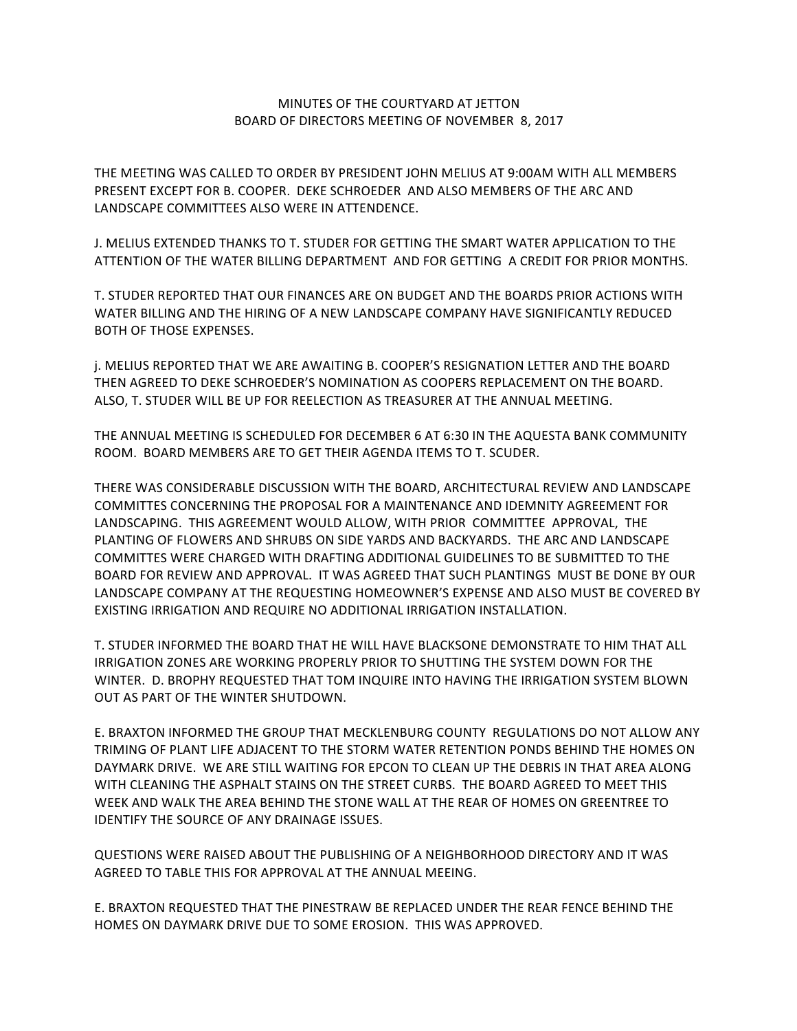## MINUTES OF THE COURTYARD AT JETTON BOARD OF DIRECTORS MEETING OF NOVEMBER 8, 2017

THE MEETING WAS CALLED TO ORDER BY PRESIDENT JOHN MELIUS AT 9:00AM WITH ALL MEMBERS PRESENT EXCEPT FOR B. COOPER. DEKE SCHROEDER AND ALSO MEMBERS OF THE ARC AND LANDSCAPE COMMITTEES ALSO WERE IN ATTENDENCE.

J. MELIUS EXTENDED THANKS TO T. STUDER FOR GETTING THE SMART WATER APPLICATION TO THE ATTENTION OF THE WATER BILLING DEPARTMENT AND FOR GETTING A CREDIT FOR PRIOR MONTHS.

T. STUDER REPORTED THAT OUR FINANCES ARE ON BUDGET AND THE BOARDS PRIOR ACTIONS WITH WATER BILLING AND THE HIRING OF A NEW LANDSCAPE COMPANY HAVE SIGNIFICANTLY REDUCED BOTH OF THOSE EXPENSES.

j. MELIUS REPORTED THAT WE ARE AWAITING B. COOPER'S RESIGNATION LETTER AND THE BOARD THEN AGREED TO DEKE SCHROEDER'S NOMINATION AS COOPERS REPLACEMENT ON THE BOARD. ALSO, T. STUDER WILL BE UP FOR REELECTION AS TREASURER AT THE ANNUAL MEETING.

THE ANNUAL MEETING IS SCHEDULED FOR DECEMBER 6 AT 6:30 IN THE AQUESTA BANK COMMUNITY ROOM. BOARD MEMBERS ARE TO GET THEIR AGENDA ITEMS TO T. SCUDER.

THERE WAS CONSIDERABLE DISCUSSION WITH THE BOARD, ARCHITECTURAL REVIEW AND LANDSCAPE COMMITTES CONCERNING THE PROPOSAL FOR A MAINTENANCE AND IDEMNITY AGREEMENT FOR LANDSCAPING. THIS AGREEMENT WOULD ALLOW, WITH PRIOR COMMITTEE APPROVAL, THE PLANTING OF FLOWERS AND SHRUBS ON SIDE YARDS AND BACKYARDS. THE ARC AND LANDSCAPE COMMITTES WERE CHARGED WITH DRAFTING ADDITIONAL GUIDELINES TO BE SUBMITTED TO THE BOARD FOR REVIEW AND APPROVAL. IT WAS AGREED THAT SUCH PLANTINGS MUST BE DONE BY OUR LANDSCAPE COMPANY AT THE REQUESTING HOMEOWNER'S EXPENSE AND ALSO MUST BE COVERED BY EXISTING IRRIGATION AND REQUIRE NO ADDITIONAL IRRIGATION INSTALLATION.

T. STUDER INFORMED THE BOARD THAT HE WILL HAVE BLACKSONE DEMONSTRATE TO HIM THAT ALL IRRIGATION ZONES ARE WORKING PROPERLY PRIOR TO SHUTTING THE SYSTEM DOWN FOR THE WINTER. D. BROPHY REQUESTED THAT TOM INQUIRE INTO HAVING THE IRRIGATION SYSTEM BLOWN OUT AS PART OF THE WINTER SHUTDOWN.

E. BRAXTON INFORMED THE GROUP THAT MECKLENBURG COUNTY REGULATIONS DO NOT ALLOW ANY TRIMING OF PLANT LIFE ADJACENT TO THE STORM WATER RETENTION PONDS BEHIND THE HOMES ON DAYMARK DRIVE. WE ARE STILL WAITING FOR EPCON TO CLEAN UP THE DEBRIS IN THAT AREA ALONG WITH CLEANING THE ASPHALT STAINS ON THE STREET CURBS. THE BOARD AGREED TO MEET THIS WEEK AND WALK THE AREA BEHIND THE STONE WALL AT THE REAR OF HOMES ON GREENTREE TO IDENTIFY THE SOURCE OF ANY DRAINAGE ISSUES.

QUESTIONS WERE RAISED ABOUT THE PUBLISHING OF A NEIGHBORHOOD DIRECTORY AND IT WAS AGREED TO TABLE THIS FOR APPROVAL AT THE ANNUAL MEEING.

E. BRAXTON REQUESTED THAT THE PINESTRAW BE REPLACED UNDER THE REAR FENCE BEHIND THE HOMES ON DAYMARK DRIVE DUE TO SOME EROSION. THIS WAS APPROVED.